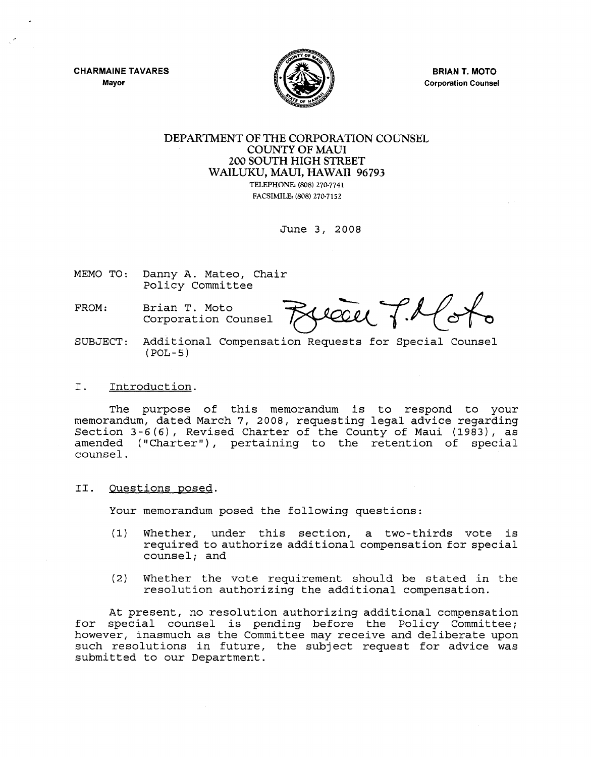**CHARMAINE TAVARES** Mayor



**BRIAN T. MOTO** Corporation Counsel

## DEPARTMENT OF THE CORPORATION COUNSEL COUNTY OF MAUl 200 SOUTH HIGH STREET WAILUKU, MAUl, HAWAII 96793 TELEPHONE, (808) 270-7741 FACSIMILE, (808) 270-7152

June 3, 2008

MEMO TO: Danny A. Mateo, Chair

- FROM: Brian T. Moto<br>Corporation Counsel **FALCOU**
- SUBJECT: Additional Compensation Requests for Special Counsel (POL-5)

## I. Introduction.

The purpose of this memorandum is to respond to your memorandum, dated March 7, 2008, requesting legal advice regarding Section 3-6(6), Revised Charter of the County of Maui (1983), as amended ("Charter"), pertaining to the retention of special counsel.

II. Questions posed.

Your memorandum posed the following questions:

- (1) Whether, under this section, <sup>a</sup> two-thirds vote is required to authorize additional compensation for special counsel; and
- (2) Whether the vote requirement should be stated in the resolution authorizing the additional compensation.

At present, no resolution authorizing additional compensation for special counsel is pending before the Policy Committee; however, inasmuch as the Committee may receive and deliberate upon such resolutions in future, the subject request for advice was submitted to our Department.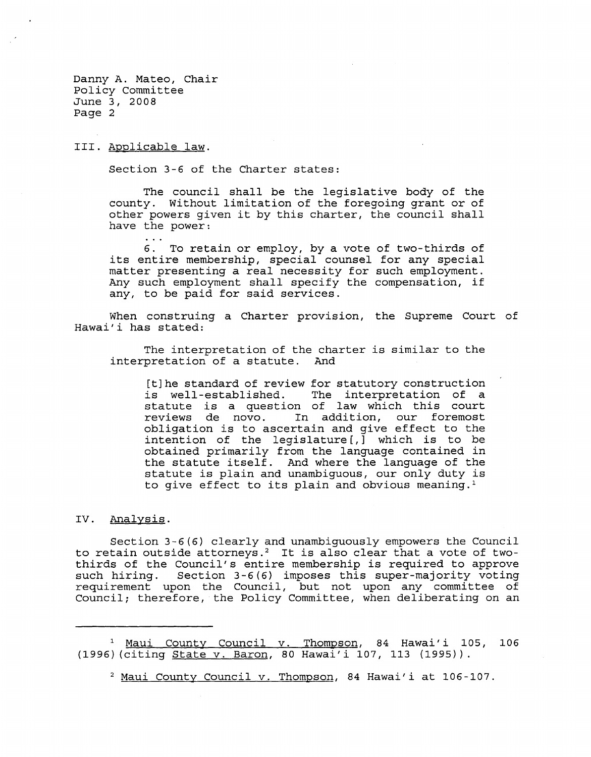Danny A. Mateo, Chair Policy Committee June 3, 2008 Page 2

III. Applicable law.

Section 3-6 of the Charter states:

The council shall be the legislative body of the county. Without limitation of the foregoing grant or of other powers given it by this charter, the council shall have the power:

6. To retain or employ, by a vote of two-thirds of its entire membership, special counsel for any special matter presenting a real necessity for such employment. Any such emploYment shall specify the compensation, if any, to be paid for said services.

When construing a Charter provision, the Supreme Court of Hawai'i has stated:

The interpretation of the charter is similar to the interpretation of a statute. And

[t]he standard of review for statutory construction is well-established. The interpretation of <sup>a</sup> statute is <sup>a</sup> question of law which this court reviews de novo. In addition, our foremost obligation is to ascertain and give effect to the intention of the legislature [,] which is to be obtained primarily from the language contained in the statute itself. And where the language of the statute is plain and unambiguous, our only duty is to give effect to its plain and obvious meaning.<sup>1</sup>

## IV. Analysis.

Section 3-6(6) clearly and unambiguously empowers the Council to retain outside attorneys.2 It is also clear that <sup>a</sup> vote of twothirds of the Council's entire membership is required to approve such hiring. Section 3-6(6) imposes this super-majority voting requirement upon the Council, but not upon any committee of Council; therefore, the Policy Committee, when deliberating on an

<sup>&</sup>lt;sup>1</sup> Maui County Council v. Thompson, 84 Hawai'i 105, 106 (1996) (citing State v. Baron, 80 Hawai'i 107, 113 (1995)).

<sup>2</sup> Maui County Council v. Thompson, <sup>84</sup> Hawai'i at 106-107.